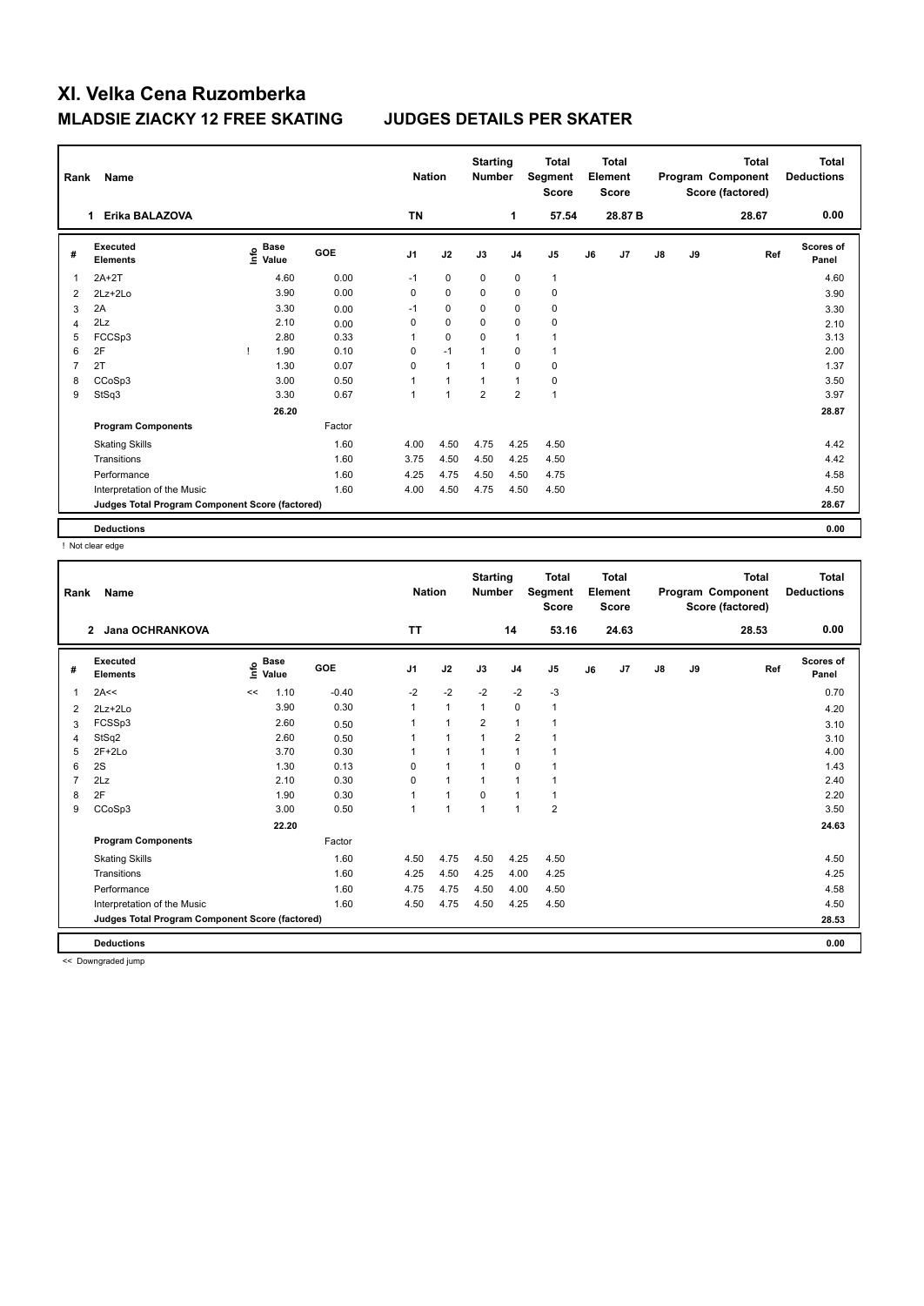| Rank           | Name                                            |    | <b>Nation</b>                    | <b>Starting</b><br><b>Number</b> |                | <b>Total</b><br>Segment<br><b>Score</b> |                | <b>Total</b><br>Element<br>Score |              |    | <b>Total</b><br>Program Component<br>Score (factored) | Total<br><b>Deductions</b> |    |       |                           |
|----------------|-------------------------------------------------|----|----------------------------------|----------------------------------|----------------|-----------------------------------------|----------------|----------------------------------|--------------|----|-------------------------------------------------------|----------------------------|----|-------|---------------------------|
|                | Erika BALAZOVA<br>1                             |    |                                  |                                  | <b>TN</b>      |                                         |                | 1                                | 57.54        |    | 28.87 B                                               |                            |    | 28.67 | 0.00                      |
| #              | Executed<br><b>Elements</b>                     |    | <b>Base</b><br>o Base<br>⊆ Value | GOE                              | J <sub>1</sub> | J2                                      | J3             | J <sub>4</sub>                   | J5           | J6 | J7                                                    | $\mathsf{J}8$              | J9 | Ref   | <b>Scores of</b><br>Panel |
| 1              | $2A+2T$                                         |    | 4.60                             | 0.00                             | $-1$           | $\mathbf 0$                             | $\mathbf 0$    | $\mathbf 0$                      | $\mathbf{1}$ |    |                                                       |                            |    |       | 4.60                      |
| $\overline{2}$ | $2Lz + 2Lo$                                     |    | 3.90                             | 0.00                             | 0              | $\mathbf 0$                             | 0              | 0                                | 0            |    |                                                       |                            |    |       | 3.90                      |
| 3              | 2A                                              |    | 3.30                             | 0.00                             | $-1$           | 0                                       | 0              | $\mathbf 0$                      | $\pmb{0}$    |    |                                                       |                            |    |       | 3.30                      |
| 4              | 2Lz                                             |    | 2.10                             | 0.00                             | 0              | $\mathbf 0$                             | 0              | $\mathbf 0$                      | $\mathbf 0$  |    |                                                       |                            |    |       | 2.10                      |
| 5              | FCCSp3                                          |    | 2.80                             | 0.33                             | 1              | $\mathbf 0$                             | 0              | $\overline{1}$                   | $\mathbf{1}$ |    |                                                       |                            |    |       | 3.13                      |
| 6              | 2F                                              | -1 | 1.90                             | 0.10                             | 0              | $-1$                                    | $\overline{1}$ | 0                                | $\mathbf{1}$ |    |                                                       |                            |    |       | 2.00                      |
| 7              | 2T                                              |    | 1.30                             | 0.07                             | 0              | $\overline{1}$                          | 1              | $\Omega$                         | $\mathbf 0$  |    |                                                       |                            |    |       | 1.37                      |
| 8              | CCoSp3                                          |    | 3.00                             | 0.50                             | 1              | $\overline{1}$                          | 1              | $\overline{1}$                   | $\pmb{0}$    |    |                                                       |                            |    |       | 3.50                      |
| 9              | StSq3                                           |    | 3.30                             | 0.67                             | 1              | 1                                       | $\overline{2}$ | $\overline{2}$                   | $\mathbf{1}$ |    |                                                       |                            |    |       | 3.97                      |
|                |                                                 |    | 26.20                            |                                  |                |                                         |                |                                  |              |    |                                                       |                            |    |       | 28.87                     |
|                | <b>Program Components</b>                       |    |                                  | Factor                           |                |                                         |                |                                  |              |    |                                                       |                            |    |       |                           |
|                | <b>Skating Skills</b>                           |    |                                  | 1.60                             | 4.00           | 4.50                                    | 4.75           | 4.25                             | 4.50         |    |                                                       |                            |    |       | 4.42                      |
|                | Transitions                                     |    |                                  | 1.60                             | 3.75           | 4.50                                    | 4.50           | 4.25                             | 4.50         |    |                                                       |                            |    |       | 4.42                      |
|                | Performance                                     |    |                                  | 1.60                             | 4.25           | 4.75                                    | 4.50           | 4.50                             | 4.75         |    |                                                       |                            |    |       | 4.58                      |
|                | Interpretation of the Music                     |    |                                  | 1.60                             | 4.00           | 4.50                                    | 4.75           | 4.50                             | 4.50         |    |                                                       |                            |    |       | 4.50                      |
|                | Judges Total Program Component Score (factored) |    |                                  |                                  |                |                                         |                |                                  |              |    |                                                       |                            |    |       | 28.67                     |
|                | <b>Deductions</b>                               |    |                                  |                                  |                |                                         |                |                                  |              |    |                                                       |                            |    |       | 0.00                      |

! Not clear edge

| Rank | Name                                            |    |                      |         | <b>Nation</b>  |                | <b>Starting</b><br><b>Number</b> |                | <b>Total</b><br>Segment<br><b>Score</b> |    | Total<br>Element<br><b>Score</b> |               |    | <b>Total</b><br>Program Component<br>Score (factored) | <b>Total</b><br><b>Deductions</b> |
|------|-------------------------------------------------|----|----------------------|---------|----------------|----------------|----------------------------------|----------------|-----------------------------------------|----|----------------------------------|---------------|----|-------------------------------------------------------|-----------------------------------|
|      | <b>Jana OCHRANKOVA</b><br>$\overline{2}$        |    |                      |         | <b>TT</b>      |                |                                  | 14             | 53.16                                   |    | 24.63                            |               |    | 28.53                                                 | 0.00                              |
| #    | <b>Executed</b><br><b>Elements</b>              | ۴o | <b>Base</b><br>Value | GOE     | J <sub>1</sub> | J2             | J3                               | J <sub>4</sub> | J5                                      | J6 | J7                               | $\mathsf{J}8$ | J9 | Ref                                                   | Scores of<br>Panel                |
| 1    | 2A<<                                            | << | 1.10                 | $-0.40$ | $-2$           | $-2$           | $-2$                             | $-2$           | $-3$                                    |    |                                  |               |    |                                                       | 0.70                              |
| 2    | $2Lz+2Lo$                                       |    | 3.90                 | 0.30    |                | $\mathbf{1}$   | 1                                | $\mathbf 0$    | $\mathbf{1}$                            |    |                                  |               |    |                                                       | 4.20                              |
| 3    | FCSSp3                                          |    | 2.60                 | 0.50    |                | 1              | $\overline{2}$                   | $\mathbf{1}$   |                                         |    |                                  |               |    |                                                       | 3.10                              |
| 4    | StSq2                                           |    | 2.60                 | 0.50    |                | $\overline{1}$ |                                  | $\overline{2}$ | 1                                       |    |                                  |               |    |                                                       | 3.10                              |
| 5    | $2F+2Lo$                                        |    | 3.70                 | 0.30    |                | 1              | 1                                | $\mathbf{1}$   | $\overline{1}$                          |    |                                  |               |    |                                                       | 4.00                              |
| 6    | 2S                                              |    | 1.30                 | 0.13    | $\Omega$       | $\overline{1}$ | 1                                | 0              |                                         |    |                                  |               |    |                                                       | 1.43                              |
|      | 2Lz                                             |    | 2.10                 | 0.30    | 0              | $\overline{1}$ |                                  | $\overline{1}$ |                                         |    |                                  |               |    |                                                       | 2.40                              |
| 8    | 2F                                              |    | 1.90                 | 0.30    |                | 1              | $\Omega$                         | $\overline{1}$ | 1                                       |    |                                  |               |    |                                                       | 2.20                              |
| 9    | CCoSp3                                          |    | 3.00                 | 0.50    |                | $\overline{1}$ | 1                                | $\overline{1}$ | $\overline{2}$                          |    |                                  |               |    |                                                       | 3.50                              |
|      |                                                 |    | 22.20                |         |                |                |                                  |                |                                         |    |                                  |               |    |                                                       | 24.63                             |
|      | <b>Program Components</b>                       |    |                      | Factor  |                |                |                                  |                |                                         |    |                                  |               |    |                                                       |                                   |
|      | <b>Skating Skills</b>                           |    |                      | 1.60    | 4.50           | 4.75           | 4.50                             | 4.25           | 4.50                                    |    |                                  |               |    |                                                       | 4.50                              |
|      | Transitions                                     |    |                      | 1.60    | 4.25           | 4.50           | 4.25                             | 4.00           | 4.25                                    |    |                                  |               |    |                                                       | 4.25                              |
|      | Performance                                     |    |                      | 1.60    | 4.75           | 4.75           | 4.50                             | 4.00           | 4.50                                    |    |                                  |               |    |                                                       | 4.58                              |
|      | Interpretation of the Music                     |    |                      | 1.60    | 4.50           | 4.75           | 4.50                             | 4.25           | 4.50                                    |    |                                  |               |    |                                                       | 4.50                              |
|      | Judges Total Program Component Score (factored) |    |                      |         |                |                |                                  |                |                                         |    |                                  |               |    |                                                       | 28.53                             |
|      | <b>Deductions</b>                               |    |                      |         |                |                |                                  |                |                                         |    |                                  |               |    |                                                       | 0.00                              |

<< Downgraded jump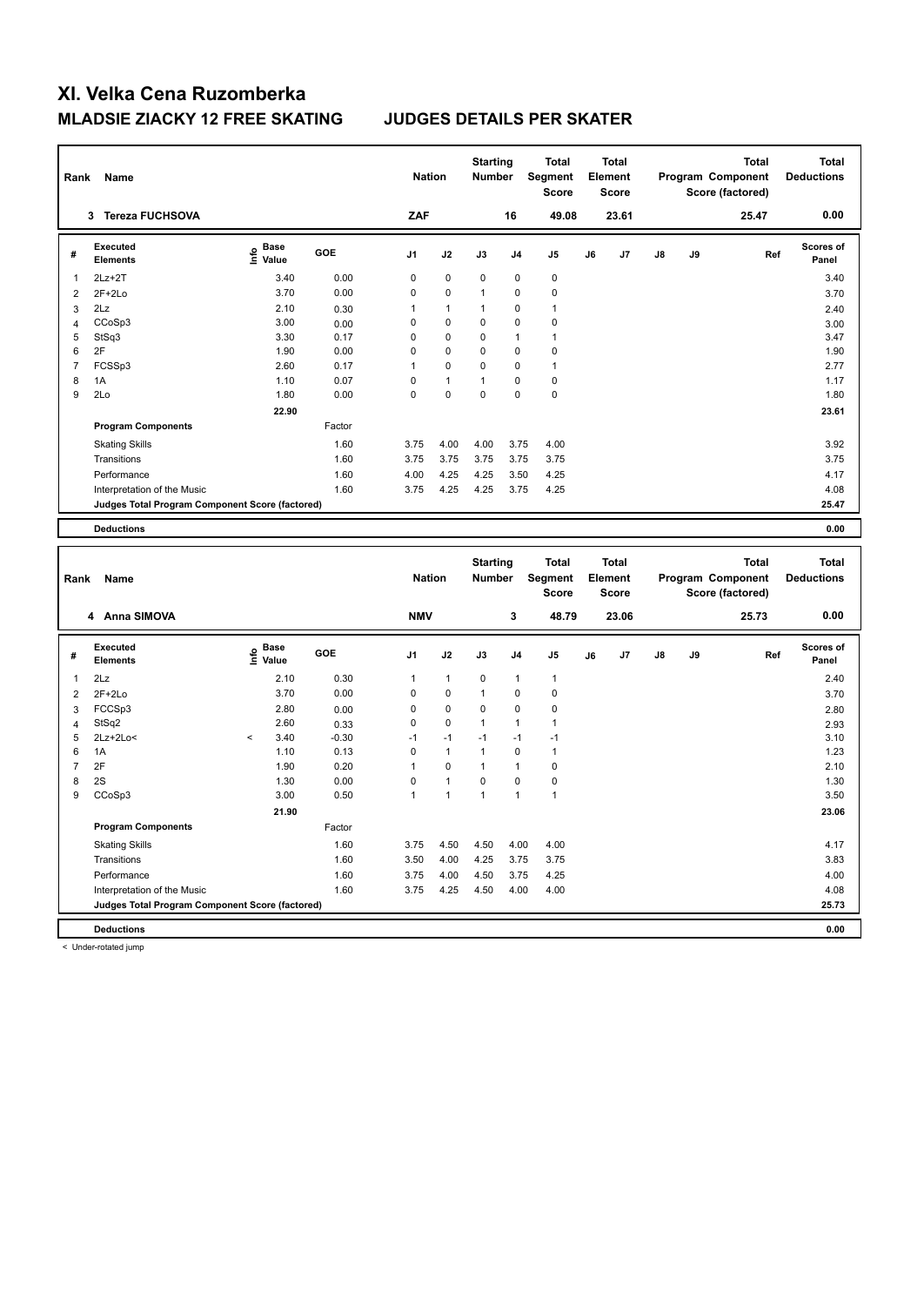| Rank           | Name                                            |                                   |              | <b>Nation</b>  |              | <b>Starting</b><br><b>Number</b> |                | <b>Total</b><br>Segment<br><b>Score</b> |    | <b>Total</b><br>Element<br><b>Score</b> |    |    | <b>Total</b><br>Program Component<br>Score (factored) | <b>Total</b><br><b>Deductions</b> |
|----------------|-------------------------------------------------|-----------------------------------|--------------|----------------|--------------|----------------------------------|----------------|-----------------------------------------|----|-----------------------------------------|----|----|-------------------------------------------------------|-----------------------------------|
|                | 3 Tereza FUCHSOVA                               |                                   |              | ZAF            |              |                                  | 16             | 49.08                                   |    | 23.61                                   |    |    | 25.47                                                 | 0.00                              |
| #              | <b>Executed</b><br><b>Elements</b>              | e Base<br>E Value                 | GOE          | J1             | J2           | J3                               | J <sub>4</sub> | J5                                      | J6 | J7                                      | J8 | J9 | Ref                                                   | Scores of<br>Panel                |
| 1              | $2Lz+2T$                                        | 3.40                              | 0.00         | 0              | 0            | 0                                | $\mathbf 0$    | $\mathbf 0$                             |    |                                         |    |    |                                                       | 3.40                              |
| $\overline{2}$ | $2F+2Lo$                                        | 3.70                              | 0.00         | $\mathbf 0$    | 0            | $\mathbf{1}$                     | 0              | $\mathbf 0$                             |    |                                         |    |    |                                                       | 3.70                              |
| 3              | 2Lz                                             | 2.10                              | 0.30         | 1              | $\mathbf{1}$ | $\mathbf{1}$                     | 0              | $\mathbf{1}$                            |    |                                         |    |    |                                                       | 2.40                              |
| $\overline{4}$ | CCoSp3                                          | 3.00                              | 0.00         | $\mathbf 0$    | 0            | $\mathbf 0$                      | $\mathbf 0$    | $\mathbf 0$                             |    |                                         |    |    |                                                       | 3.00                              |
| 5              | StSq3                                           | 3.30                              | 0.17         | $\mathbf 0$    | 0            | 0                                | $\mathbf{1}$   | $\mathbf{1}$                            |    |                                         |    |    |                                                       | 3.47                              |
| 6              | 2F                                              | 1.90                              | 0.00         | $\mathbf 0$    | 0            | 0                                | $\mathbf 0$    | $\pmb{0}$                               |    |                                         |    |    |                                                       | 1.90                              |
| $\overline{7}$ | FCSSp3                                          | 2.60                              | 0.17         | 1              | 0            | $\mathbf 0$                      | 0              | $\mathbf{1}$                            |    |                                         |    |    |                                                       | 2.77                              |
| 8              | 1A                                              | 1.10                              | 0.07         | $\mathbf 0$    | $\mathbf{1}$ | $\mathbf{1}$                     | $\mathbf 0$    | $\mathbf 0$                             |    |                                         |    |    |                                                       | 1.17                              |
| 9              | 2Lo                                             | 1.80                              | 0.00         | $\mathbf 0$    | 0            | $\mathbf 0$                      | $\Omega$       | $\pmb{0}$                               |    |                                         |    |    |                                                       | 1.80                              |
|                |                                                 | 22.90                             |              |                |              |                                  |                |                                         |    |                                         |    |    |                                                       | 23.61                             |
|                | <b>Program Components</b>                       |                                   | Factor       |                |              |                                  |                |                                         |    |                                         |    |    |                                                       |                                   |
|                | <b>Skating Skills</b>                           |                                   | 1.60         | 3.75           | 4.00         | 4.00                             | 3.75           | 4.00                                    |    |                                         |    |    |                                                       | 3.92                              |
|                | Transitions                                     |                                   | 1.60         | 3.75           | 3.75         | 3.75                             | 3.75           | 3.75                                    |    |                                         |    |    |                                                       | 3.75                              |
|                | Performance                                     |                                   | 1.60         | 4.00           | 4.25         | 4.25                             | 3.50           | 4.25                                    |    |                                         |    |    |                                                       | 4.17                              |
|                | Interpretation of the Music                     |                                   | 1.60         | 3.75           | 4.25         | 4.25                             | 3.75           | 4.25                                    |    |                                         |    |    |                                                       | 4.08                              |
|                | Judges Total Program Component Score (factored) |                                   |              |                |              |                                  |                |                                         |    |                                         |    |    |                                                       | 25.47                             |
|                |                                                 |                                   |              |                |              |                                  |                |                                         |    |                                         |    |    |                                                       |                                   |
|                | <b>Deductions</b>                               |                                   |              |                |              |                                  |                |                                         |    |                                         |    |    |                                                       | 0.00                              |
|                |                                                 |                                   |              |                |              |                                  |                |                                         |    |                                         |    |    |                                                       |                                   |
|                |                                                 |                                   |              |                |              |                                  |                |                                         |    |                                         |    |    |                                                       |                                   |
|                |                                                 |                                   |              |                |              | <b>Starting</b>                  |                | <b>Total</b>                            |    | <b>Total</b>                            |    |    | <b>Total</b>                                          | <b>Total</b>                      |
| Rank           | Name                                            |                                   |              | <b>Nation</b>  |              | <b>Number</b>                    |                | Segment                                 |    | Element                                 |    |    | Program Component                                     | <b>Deductions</b>                 |
|                |                                                 |                                   |              |                |              |                                  |                | Score                                   |    | Score                                   |    |    | Score (factored)                                      |                                   |
|                | 4 Anna SIMOVA                                   |                                   |              | <b>NMV</b>     |              |                                  | 3              | 48.79                                   |    | 23.06                                   |    |    | 25.73                                                 | 0.00                              |
|                |                                                 |                                   |              |                |              |                                  |                |                                         |    |                                         |    |    |                                                       |                                   |
| #              | <b>Executed</b><br><b>Elements</b>              | $\overset{\circ}{\text{E}}$ Value | GOE          | J <sub>1</sub> | J2           | J3                               | J4             | J5                                      | J6 | J7                                      | J8 | J9 | Ref                                                   | Scores of<br>Panel                |
| $\mathbf{1}$   | 2Lz                                             | 2.10                              | 0.30         | 1              | $\mathbf{1}$ | 0                                | $\overline{1}$ | $\mathbf{1}$                            |    |                                         |    |    |                                                       | 2.40                              |
| $\overline{2}$ | $2F+2Lo$                                        | 3.70                              | 0.00         | 0              | 0            | $\mathbf{1}$                     | 0              | $\mathbf 0$                             |    |                                         |    |    |                                                       | 3.70                              |
| 3              | FCCSp3                                          | 2.80                              | 0.00         | $\pmb{0}$      | $\pmb{0}$    | 0                                | 0              | $\pmb{0}$                               |    |                                         |    |    |                                                       | 2.80                              |
| $\overline{4}$ | StSq2                                           | 2.60                              | 0.33         | $\mathbf 0$    | 0            | $\mathbf{1}$                     | $\mathbf{1}$   | $\overline{1}$                          |    |                                         |    |    |                                                       | 2.93                              |
| 5              | $2Lz + 2Lo <$                                   | 3.40<br>$\,<$                     | $-0.30$      | $-1$           | $-1$         | $-1$                             | $-1$           | $-1$                                    |    |                                         |    |    |                                                       | 3.10                              |
| 6              | 1A                                              | 1.10                              | 0.13         | $\mathbf 0$    | $\mathbf{1}$ | $\mathbf{1}$                     | $\Omega$       | $\overline{1}$                          |    |                                         |    |    |                                                       | 1.23                              |
| $\overline{7}$ | 2F                                              | 1.90                              | 0.20         | $\overline{1}$ | 0            | $\mathbf{1}$                     | 1              | $\pmb{0}$                               |    |                                         |    |    |                                                       | 2.10                              |
| 8              | 2S                                              | 1.30                              | 0.00         | $\mathbf 0$    | $\mathbf{1}$ | 0                                | $\mathbf 0$    | $\pmb{0}$                               |    |                                         |    |    |                                                       | 1.30                              |
| 9              | CCoSp3                                          | 3.00                              | 0.50         | $\mathbf{1}$   | $\mathbf{1}$ | $\mathbf{1}$                     | 1              | $\overline{1}$                          |    |                                         |    |    |                                                       | 3.50                              |
|                |                                                 | 21.90                             |              |                |              |                                  |                |                                         |    |                                         |    |    |                                                       | 23.06                             |
|                | <b>Program Components</b>                       |                                   | Factor       |                |              |                                  |                |                                         |    |                                         |    |    |                                                       |                                   |
|                |                                                 |                                   |              |                |              |                                  |                |                                         |    |                                         |    |    |                                                       |                                   |
|                | <b>Skating Skills</b>                           |                                   | 1.60         | 3.75           | 4.50         | 4.50                             | 4.00           | 4.00                                    |    |                                         |    |    |                                                       | 4.17                              |
|                | Transitions                                     |                                   | 1.60         | 3.50           | 4.00         | 4.25                             | 3.75           | 3.75                                    |    |                                         |    |    |                                                       | 3.83                              |
|                | Performance<br>Interpretation of the Music      |                                   | 1.60<br>1.60 | 3.75<br>3.75   | 4.00<br>4.25 | 4.50<br>4.50                     | 3.75<br>4.00   | 4.25<br>4.00                            |    |                                         |    |    |                                                       | 4.00<br>4.08                      |

**Deductions 0.00** < Under-rotated jump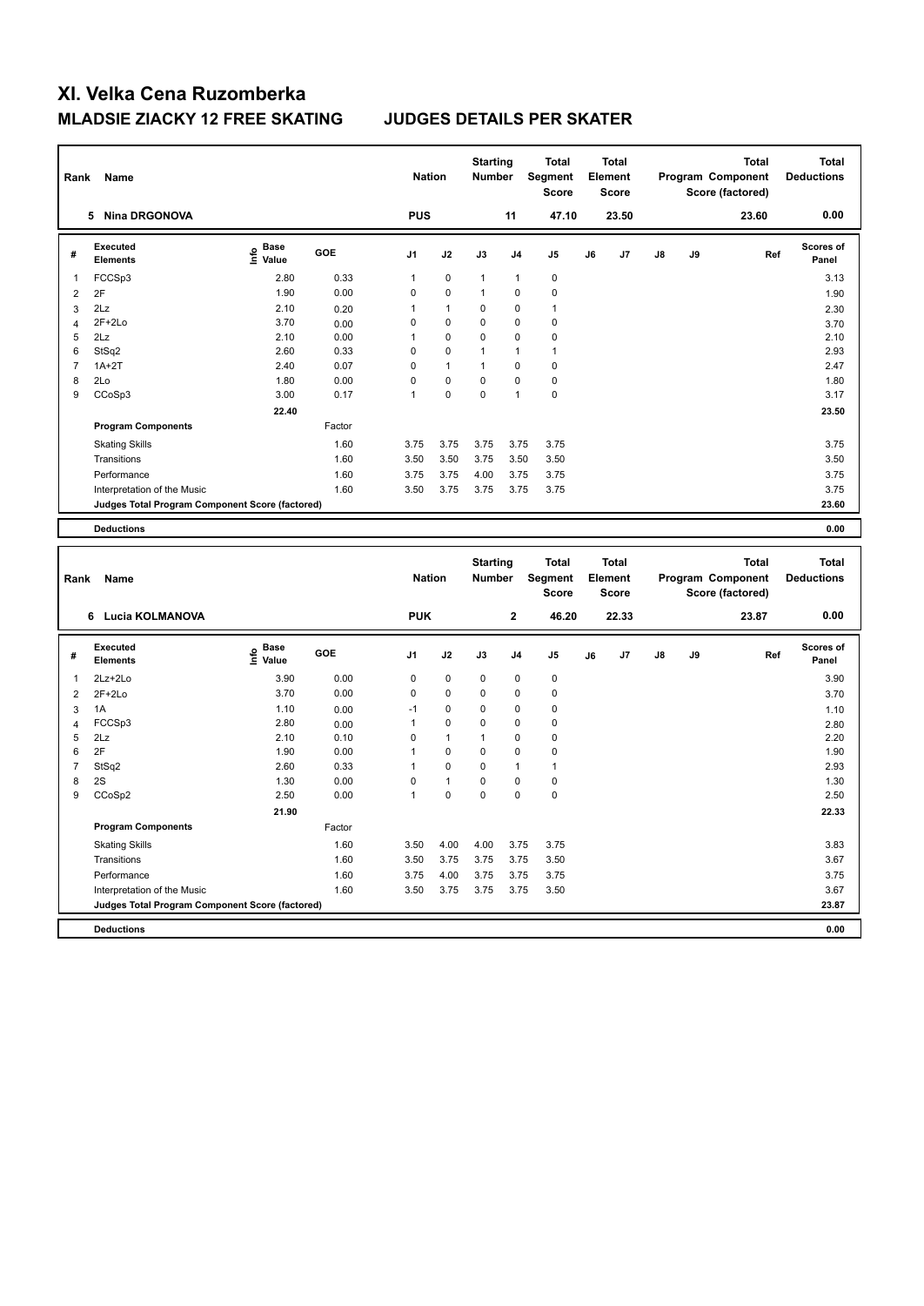| Rank           | Name                                            |                                           |              | <b>Nation</b>  |              | <b>Starting</b><br><b>Number</b> |                | <b>Total</b><br>Segment<br>Score        |    | <b>Total</b><br>Element<br><b>Score</b> |    |    | <b>Total</b><br>Program Component<br>Score (factored) |     | <b>Total</b><br><b>Deductions</b> |
|----------------|-------------------------------------------------|-------------------------------------------|--------------|----------------|--------------|----------------------------------|----------------|-----------------------------------------|----|-----------------------------------------|----|----|-------------------------------------------------------|-----|-----------------------------------|
|                | 5 Nina DRGONOVA                                 |                                           |              | <b>PUS</b>     |              |                                  | 11             | 47.10                                   |    | 23.50                                   |    |    | 23.60                                                 |     | 0.00                              |
| #              | <b>Executed</b><br><b>Elements</b>              | $\frac{e}{E}$ Base<br>$\frac{e}{E}$ Value | <b>GOE</b>   | J1             | J2           | J3                               | J <sub>4</sub> | J5                                      | J6 | J7                                      | J8 | J9 |                                                       | Ref | Scores of<br>Panel                |
| 1              | FCCSp3                                          | 2.80                                      | 0.33         | $\mathbf{1}$   | $\mathbf 0$  | $\mathbf{1}$                     | $\mathbf{1}$   | $\pmb{0}$                               |    |                                         |    |    |                                                       |     | 3.13                              |
| $\overline{2}$ | 2F                                              | 1.90                                      | 0.00         | $\mathbf 0$    | $\pmb{0}$    | $\mathbf{1}$                     | 0              | $\pmb{0}$                               |    |                                         |    |    |                                                       |     | 1.90                              |
| 3              | 2Lz                                             | 2.10                                      | 0.20         | $\overline{1}$ | $\mathbf{1}$ | $\mathbf 0$                      | $\mathbf 0$    | 1                                       |    |                                         |    |    |                                                       |     | 2.30                              |
| $\overline{4}$ | $2F+2Lo$                                        | 3.70                                      | 0.00         | $\mathbf 0$    | 0            | $\mathbf 0$                      | $\mathbf 0$    | $\mathbf 0$                             |    |                                         |    |    |                                                       |     | 3.70                              |
| 5              | 2Lz                                             | 2.10                                      | 0.00         | 1              | 0            | $\mathbf 0$                      | $\mathbf 0$    | 0                                       |    |                                         |    |    |                                                       |     | 2.10                              |
| 6              | StSq2                                           | 2.60                                      | 0.33         | $\mathbf 0$    | 0            | $\mathbf{1}$                     | $\mathbf{1}$   | $\mathbf{1}$                            |    |                                         |    |    |                                                       |     | 2.93                              |
| $\overline{7}$ | $1A+2T$                                         | 2.40                                      | 0.07         | $\mathbf 0$    | $\mathbf{1}$ | $\mathbf{1}$                     | $\mathbf 0$    | 0                                       |    |                                         |    |    |                                                       |     | 2.47                              |
| 8              | 2Lo                                             | 1.80                                      | 0.00         | $\Omega$       | 0            | $\Omega$                         | $\Omega$       | 0                                       |    |                                         |    |    |                                                       |     | 1.80                              |
| 9              | CCoSp3                                          | 3.00                                      | 0.17         | $\mathbf{1}$   | 0            | $\mathbf 0$                      | 1              | $\pmb{0}$                               |    |                                         |    |    |                                                       |     | 3.17                              |
|                |                                                 | 22.40                                     |              |                |              |                                  |                |                                         |    |                                         |    |    |                                                       |     | 23.50                             |
|                | <b>Program Components</b>                       |                                           | Factor       |                |              |                                  |                |                                         |    |                                         |    |    |                                                       |     |                                   |
|                | <b>Skating Skills</b>                           |                                           | 1.60         | 3.75           | 3.75         | 3.75                             | 3.75           | 3.75                                    |    |                                         |    |    |                                                       |     | 3.75                              |
|                | Transitions                                     |                                           | 1.60         | 3.50           | 3.50         | 3.75                             | 3.50           | 3.50                                    |    |                                         |    |    |                                                       |     | 3.50                              |
|                |                                                 |                                           |              |                |              |                                  |                |                                         |    |                                         |    |    |                                                       |     |                                   |
|                | Performance                                     |                                           | 1.60<br>1.60 | 3.75           | 3.75         | 4.00                             | 3.75           | 3.75                                    |    |                                         |    |    |                                                       |     | 3.75                              |
|                | Interpretation of the Music                     |                                           |              | 3.50           | 3.75         | 3.75                             | 3.75           | 3.75                                    |    |                                         |    |    |                                                       |     | 3.75                              |
|                | Judges Total Program Component Score (factored) |                                           |              |                |              |                                  |                |                                         |    |                                         |    |    |                                                       |     | 23.60                             |
|                | <b>Deductions</b>                               |                                           |              |                |              |                                  |                |                                         |    |                                         |    |    |                                                       |     | 0.00                              |
|                |                                                 |                                           |              |                |              |                                  |                |                                         |    |                                         |    |    |                                                       |     |                                   |
| Rank           | Name                                            |                                           |              | <b>Nation</b>  |              | <b>Starting</b><br><b>Number</b> |                | <b>Total</b><br>Segment<br><b>Score</b> |    | <b>Total</b><br>Element<br><b>Score</b> |    |    | <b>Total</b><br>Program Component<br>Score (factored) |     | <b>Total</b><br><b>Deductions</b> |
|                | 6 Lucia KOLMANOVA                               |                                           |              | <b>PUK</b>     |              |                                  | $\mathbf 2$    | 46.20                                   |    | 22.33                                   |    |    | 23.87                                                 |     | 0.00                              |
| #              | Executed<br><b>Elements</b>                     |                                           | GOE          | J1             | J2           | J3                               | J <sub>4</sub> | J <sub>5</sub>                          | J6 | J7                                      | J8 | J9 |                                                       | Ref | Scores of<br>Panel                |
|                |                                                 | e Base<br>E Value                         |              |                |              |                                  |                |                                         |    |                                         |    |    |                                                       |     |                                   |
| -1             | 2Lz+2Lo                                         | 3.90                                      | 0.00         | $\mathbf 0$    | $\mathbf 0$  | $\mathbf 0$                      | 0              | $\pmb{0}$                               |    |                                         |    |    |                                                       |     | 3.90                              |
| $\overline{2}$ | $2F+2Lo$                                        | 3.70                                      | 0.00         | $\mathbf 0$    | $\mathbf 0$  | $\mathbf 0$                      | $\mathbf 0$    | 0                                       |    |                                         |    |    |                                                       |     | 3.70                              |
| 3              | 1A                                              | 1.10                                      | 0.00         | $-1$           | 0            | 0                                | 0              | 0                                       |    |                                         |    |    |                                                       |     | 1.10                              |
| $\overline{4}$ | FCCSp3                                          | 2.80                                      | 0.00         | $\mathbf{1}$   | $\Omega$     | 0                                | $\Omega$       | $\Omega$                                |    |                                         |    |    |                                                       |     | 2.80                              |
| 5              | 2Lz                                             | 2.10                                      | 0.10         | $\mathbf 0$    | $\mathbf{1}$ | $\mathbf{1}$                     | 0              | 0                                       |    |                                         |    |    |                                                       |     | 2.20                              |
| 6              | 2F                                              | 1.90                                      | 0.00         | $\mathbf{1}$   | 0            | $\mathbf 0$                      | $\mathbf 0$    | 0                                       |    |                                         |    |    |                                                       |     | 1.90                              |
| $\overline{7}$ | StSq2                                           | 2.60                                      | 0.33         | $\mathbf{1}$   | 0            | $\mathbf 0$                      | $\mathbf{1}$   | $\mathbf{1}$                            |    |                                         |    |    |                                                       |     | 2.93                              |
| 8              | 2S                                              | 1.30                                      | 0.00         | $\mathbf 0$    | $\mathbf{1}$ | $\mathbf 0$                      | $\mathbf 0$    | 0                                       |    |                                         |    |    |                                                       |     | 1.30                              |
| 9              | CCoSp2                                          | 2.50                                      | 0.00         | $\mathbf{1}$   | $\mathbf 0$  | $\mathbf 0$                      | $\mathbf 0$    | $\mathbf 0$                             |    |                                         |    |    |                                                       |     | 2.50                              |
|                |                                                 | 21.90                                     |              |                |              |                                  |                |                                         |    |                                         |    |    |                                                       |     | 22.33                             |
|                | <b>Program Components</b>                       |                                           | Factor       |                |              |                                  |                |                                         |    |                                         |    |    |                                                       |     |                                   |
|                | <b>Skating Skills</b>                           |                                           | 1.60         | 3.50           | 4.00         | 4.00                             | 3.75           | 3.75                                    |    |                                         |    |    |                                                       |     | 3.83                              |
|                | Transitions                                     |                                           | 1.60         | 3.50           | 3.75         | 3.75                             | 3.75           | 3.50                                    |    |                                         |    |    |                                                       |     | 3.67                              |
|                | Performance                                     |                                           | 1.60         | 3.75           | 4.00         | 3.75                             | 3.75           | 3.75                                    |    |                                         |    |    |                                                       |     | 3.75                              |
|                | Interpretation of the Music                     |                                           | 1.60         | 3.50           | 3.75         | 3.75                             | 3.75           | 3.50                                    |    |                                         |    |    |                                                       |     | 3.67                              |
|                | Judges Total Program Component Score (factored) |                                           |              |                |              |                                  |                |                                         |    |                                         |    |    |                                                       |     | 23.87                             |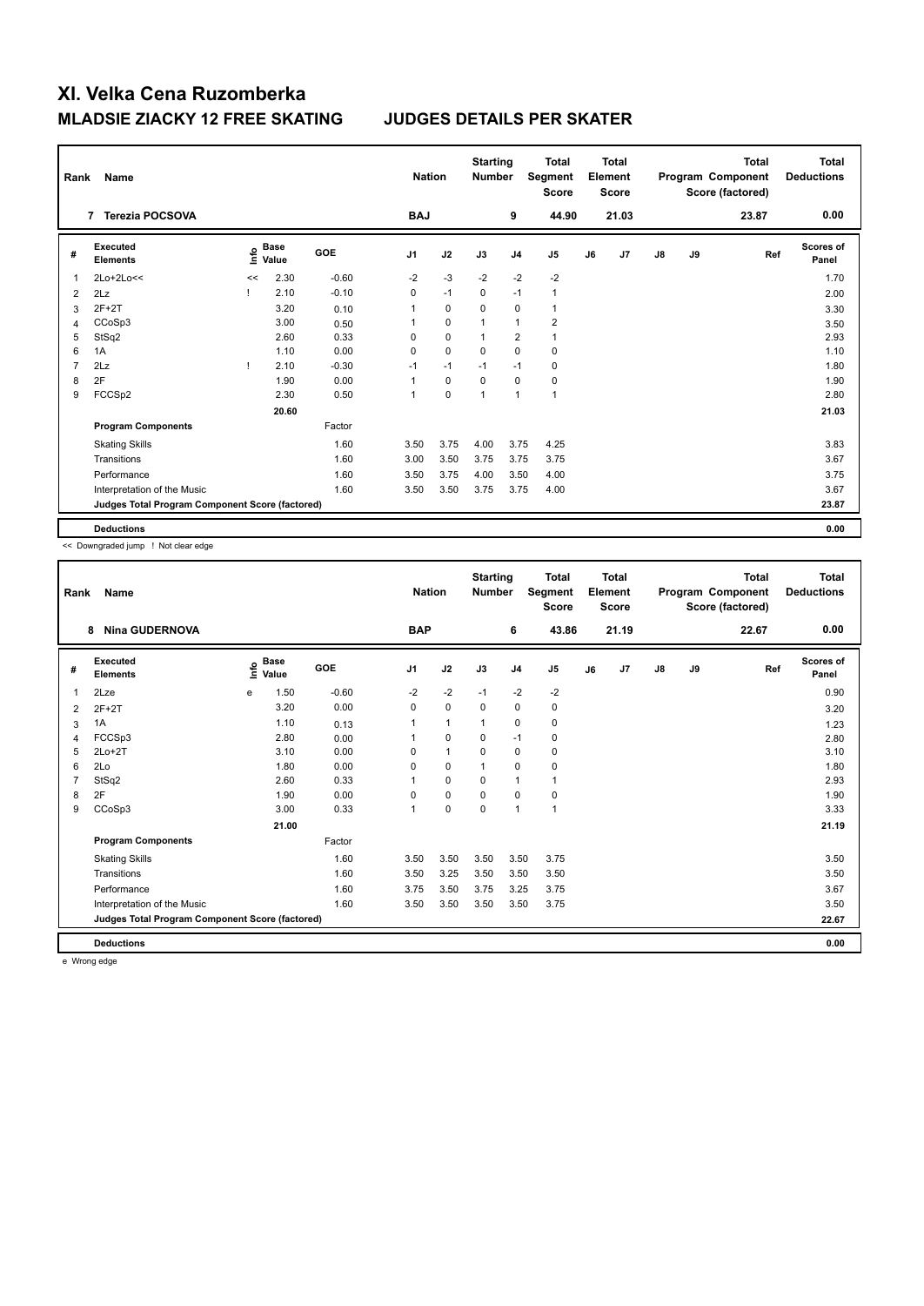| Rank           | Name                                            |      |                      |            | <b>Nation</b>  |             | <b>Starting</b><br><b>Number</b> |                | <b>Total</b><br>Segment<br><b>Score</b> |    | <b>Total</b><br>Element<br><b>Score</b> |               |    | <b>Total</b><br>Program Component<br>Score (factored) | Total<br><b>Deductions</b> |
|----------------|-------------------------------------------------|------|----------------------|------------|----------------|-------------|----------------------------------|----------------|-----------------------------------------|----|-----------------------------------------|---------------|----|-------------------------------------------------------|----------------------------|
|                | <b>Terezia POCSOVA</b><br>$\overline{7}$        |      |                      |            | <b>BAJ</b>     |             |                                  | 9              | 44.90                                   |    | 21.03                                   |               |    | 23.87                                                 | 0.00                       |
| #              | Executed<br><b>Elements</b>                     | info | <b>Base</b><br>Value | <b>GOE</b> | J <sub>1</sub> | J2          | J3                               | J <sub>4</sub> | J5                                      | J6 | J7                                      | $\mathsf{J}8$ | J9 | Ref                                                   | <b>Scores of</b><br>Panel  |
| 1              | 2Lo+2Lo<<                                       | <<   | 2.30                 | $-0.60$    | $-2$           | $-3$        | $-2$                             | $-2$           | $-2$                                    |    |                                         |               |    |                                                       | 1.70                       |
| $\overline{2}$ | 2Lz                                             |      | 2.10                 | $-0.10$    | 0              | $-1$        | 0                                | $-1$           | $\mathbf{1}$                            |    |                                         |               |    |                                                       | 2.00                       |
| 3              | $2F+2T$                                         |      | 3.20                 | 0.10       | 1              | $\mathbf 0$ | $\Omega$                         | 0              | $\mathbf{1}$                            |    |                                         |               |    |                                                       | 3.30                       |
| 4              | CCoSp3                                          |      | 3.00                 | 0.50       | 1              | $\mathbf 0$ | $\overline{1}$                   | $\overline{1}$ | $\overline{2}$                          |    |                                         |               |    |                                                       | 3.50                       |
| 5              | StSq2                                           |      | 2.60                 | 0.33       | 0              | $\mathbf 0$ | 1                                | $\overline{2}$ | $\mathbf{1}$                            |    |                                         |               |    |                                                       | 2.93                       |
| 6              | 1A                                              |      | 1.10                 | 0.00       | 0              | $\mathbf 0$ | $\mathbf 0$                      | $\mathbf 0$    | $\mathbf 0$                             |    |                                         |               |    |                                                       | 1.10                       |
| 7              | 2Lz                                             |      | 2.10                 | $-0.30$    | $-1$           | $-1$        | $-1$                             | $-1$           | $\mathbf 0$                             |    |                                         |               |    |                                                       | 1.80                       |
| 8              | 2F                                              |      | 1.90                 | 0.00       | 1              | 0           | 0                                | 0              | 0                                       |    |                                         |               |    |                                                       | 1.90                       |
| 9              | FCCSp2                                          |      | 2.30                 | 0.50       | 1              | $\pmb{0}$   | 1                                | $\overline{1}$ | $\mathbf{1}$                            |    |                                         |               |    |                                                       | 2.80                       |
|                |                                                 |      | 20.60                |            |                |             |                                  |                |                                         |    |                                         |               |    |                                                       | 21.03                      |
|                | <b>Program Components</b>                       |      |                      | Factor     |                |             |                                  |                |                                         |    |                                         |               |    |                                                       |                            |
|                | <b>Skating Skills</b>                           |      |                      | 1.60       | 3.50           | 3.75        | 4.00                             | 3.75           | 4.25                                    |    |                                         |               |    |                                                       | 3.83                       |
|                | Transitions                                     |      |                      | 1.60       | 3.00           | 3.50        | 3.75                             | 3.75           | 3.75                                    |    |                                         |               |    |                                                       | 3.67                       |
|                | Performance                                     |      |                      | 1.60       | 3.50           | 3.75        | 4.00                             | 3.50           | 4.00                                    |    |                                         |               |    |                                                       | 3.75                       |
|                | Interpretation of the Music                     |      |                      | 1.60       | 3.50           | 3.50        | 3.75                             | 3.75           | 4.00                                    |    |                                         |               |    |                                                       | 3.67                       |
|                | Judges Total Program Component Score (factored) |      |                      |            |                |             |                                  |                |                                         |    |                                         |               |    |                                                       | 23.87                      |
|                | <b>Deductions</b>                               |      |                      |            |                |             |                                  |                |                                         |    |                                         |               |    |                                                       | 0.00                       |

<< Downgraded jump ! Not clear edge

| Rank | Name                                            |      |                      |            | <b>Nation</b>  |              | <b>Starting</b><br><b>Number</b> |                | <b>Total</b><br>Segment<br><b>Score</b> |    | <b>Total</b><br>Element<br><b>Score</b> |               |    | Total<br>Program Component<br>Score (factored) | <b>Total</b><br><b>Deductions</b> |
|------|-------------------------------------------------|------|----------------------|------------|----------------|--------------|----------------------------------|----------------|-----------------------------------------|----|-----------------------------------------|---------------|----|------------------------------------------------|-----------------------------------|
|      | <b>Nina GUDERNOVA</b><br>8                      |      |                      |            | <b>BAP</b>     |              |                                  | 6              | 43.86                                   |    | 21.19                                   |               |    | 22.67                                          | 0.00                              |
| #    | Executed<br><b>Elements</b>                     | Life | <b>Base</b><br>Value | <b>GOE</b> | J <sub>1</sub> | J2           | J3                               | J <sub>4</sub> | J <sub>5</sub>                          | J6 | J7                                      | $\mathsf{J}8$ | J9 | Ref                                            | <b>Scores of</b><br>Panel         |
| 1    | 2Lze                                            | e    | 1.50                 | $-0.60$    | $-2$           | $-2$         | $-1$                             | $-2$           | $-2$                                    |    |                                         |               |    |                                                | 0.90                              |
| 2    | $2F+2T$                                         |      | 3.20                 | 0.00       | 0              | $\pmb{0}$    | 0                                | 0              | 0                                       |    |                                         |               |    |                                                | 3.20                              |
| 3    | 1A                                              |      | 1.10                 | 0.13       |                | $\mathbf{1}$ | $\mathbf{1}$                     | $\mathbf 0$    | $\mathbf 0$                             |    |                                         |               |    |                                                | 1.23                              |
| 4    | FCCSp3                                          |      | 2.80                 | 0.00       |                | 0            | $\Omega$                         | $-1$           | 0                                       |    |                                         |               |    |                                                | 2.80                              |
| 5    | $2Lo+2T$                                        |      | 3.10                 | 0.00       | 0              | $\mathbf{1}$ | $\Omega$                         | $\mathbf 0$    | 0                                       |    |                                         |               |    |                                                | 3.10                              |
| 6    | 2Lo                                             |      | 1.80                 | 0.00       | 0              | $\mathbf 0$  | 1                                | $\mathbf 0$    | 0                                       |    |                                         |               |    |                                                | 1.80                              |
| 7    | StSq2                                           |      | 2.60                 | 0.33       |                | $\mathbf 0$  | 0                                | $\mathbf{1}$   | $\mathbf{1}$                            |    |                                         |               |    |                                                | 2.93                              |
| 8    | 2F                                              |      | 1.90                 | 0.00       | $\Omega$       | $\mathbf 0$  | $\Omega$                         | $\mathbf 0$    | $\pmb{0}$                               |    |                                         |               |    |                                                | 1.90                              |
| 9    | CCoSp3                                          |      | 3.00                 | 0.33       | 1              | $\mathbf 0$  | $\Omega$                         | $\overline{1}$ | $\mathbf{1}$                            |    |                                         |               |    |                                                | 3.33                              |
|      |                                                 |      | 21.00                |            |                |              |                                  |                |                                         |    |                                         |               |    |                                                | 21.19                             |
|      | <b>Program Components</b>                       |      |                      | Factor     |                |              |                                  |                |                                         |    |                                         |               |    |                                                |                                   |
|      | <b>Skating Skills</b>                           |      |                      | 1.60       | 3.50           | 3.50         | 3.50                             | 3.50           | 3.75                                    |    |                                         |               |    |                                                | 3.50                              |
|      | Transitions                                     |      |                      | 1.60       | 3.50           | 3.25         | 3.50                             | 3.50           | 3.50                                    |    |                                         |               |    |                                                | 3.50                              |
|      | Performance                                     |      |                      | 1.60       | 3.75           | 3.50         | 3.75                             | 3.25           | 3.75                                    |    |                                         |               |    |                                                | 3.67                              |
|      | Interpretation of the Music                     |      |                      | 1.60       | 3.50           | 3.50         | 3.50                             | 3.50           | 3.75                                    |    |                                         |               |    |                                                | 3.50                              |
|      | Judges Total Program Component Score (factored) |      |                      |            |                |              |                                  |                |                                         |    |                                         |               |    |                                                | 22.67                             |
|      | <b>Deductions</b>                               |      |                      |            |                |              |                                  |                |                                         |    |                                         |               |    |                                                | 0.00                              |

e Wrong edge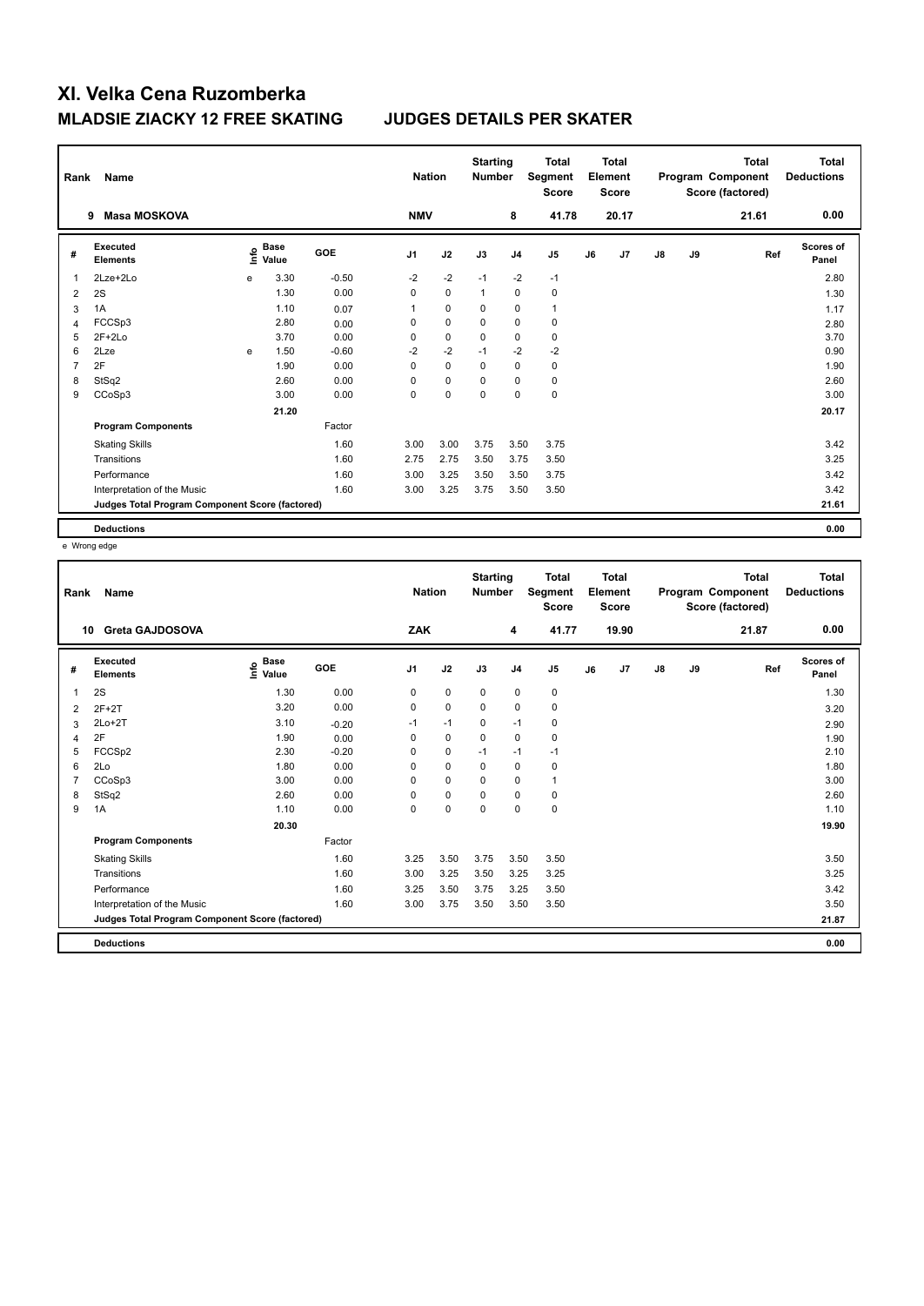| Rank | Name                                            | <b>Nation</b> |                      | <b>Starting</b><br><b>Number</b> |                | <b>Total</b><br>Segment<br><b>Score</b> |             | <b>Total</b><br>Element<br><b>Score</b> |                |    | <b>Total</b><br>Program Component<br>Score (factored) | Total<br><b>Deductions</b> |    |       |                    |
|------|-------------------------------------------------|---------------|----------------------|----------------------------------|----------------|-----------------------------------------|-------------|-----------------------------------------|----------------|----|-------------------------------------------------------|----------------------------|----|-------|--------------------|
|      | <b>Masa MOSKOVA</b><br>9                        |               |                      |                                  | <b>NMV</b>     |                                         |             | 8                                       | 41.78          |    | 20.17                                                 |                            |    | 21.61 | 0.00               |
| #    | Executed<br><b>Elements</b>                     | ١nfo          | <b>Base</b><br>Value | GOE                              | J <sub>1</sub> | J2                                      | J3          | J <sub>4</sub>                          | J <sub>5</sub> | J6 | J7                                                    | $\mathsf{J}8$              | J9 | Ref   | Scores of<br>Panel |
| 1    | 2Lze+2Lo                                        | e             | 3.30                 | $-0.50$                          | $-2$           | $-2$                                    | $-1$        | $-2$                                    | $-1$           |    |                                                       |                            |    |       | 2.80               |
| 2    | 2S                                              |               | 1.30                 | 0.00                             | 0              | $\mathbf 0$                             | 1           | 0                                       | 0              |    |                                                       |                            |    |       | 1.30               |
| 3    | 1A                                              |               | 1.10                 | 0.07                             | 1              | $\mathbf 0$                             | 0           | $\mathbf 0$                             | $\mathbf{1}$   |    |                                                       |                            |    |       | 1.17               |
| 4    | FCCSp3                                          |               | 2.80                 | 0.00                             | 0              | $\mathbf 0$                             | 0           | $\mathbf 0$                             | $\pmb{0}$      |    |                                                       |                            |    |       | 2.80               |
| 5    | $2F+2Lo$                                        |               | 3.70                 | 0.00                             | 0              | $\mathbf 0$                             | $\mathbf 0$ | $\mathbf 0$                             | $\pmb{0}$      |    |                                                       |                            |    |       | 3.70               |
| 6    | 2Lze                                            | e             | 1.50                 | $-0.60$                          | $-2$           | $-2$                                    | $-1$        | $-2$                                    | $-2$           |    |                                                       |                            |    |       | 0.90               |
| 7    | 2F                                              |               | 1.90                 | 0.00                             | $\Omega$       | $\Omega$                                | $\Omega$    | $\mathbf 0$                             | $\pmb{0}$      |    |                                                       |                            |    |       | 1.90               |
| 8    | StSq2                                           |               | 2.60                 | 0.00                             | 0              | 0                                       | 0           | 0                                       | 0              |    |                                                       |                            |    |       | 2.60               |
| 9    | CCoSp3                                          |               | 3.00                 | 0.00                             | 0              | 0                                       | 0           | $\mathbf 0$                             | $\pmb{0}$      |    |                                                       |                            |    |       | 3.00               |
|      |                                                 |               | 21.20                |                                  |                |                                         |             |                                         |                |    |                                                       |                            |    |       | 20.17              |
|      | <b>Program Components</b>                       |               |                      | Factor                           |                |                                         |             |                                         |                |    |                                                       |                            |    |       |                    |
|      | <b>Skating Skills</b>                           |               |                      | 1.60                             | 3.00           | 3.00                                    | 3.75        | 3.50                                    | 3.75           |    |                                                       |                            |    |       | 3.42               |
|      | Transitions                                     |               |                      | 1.60                             | 2.75           | 2.75                                    | 3.50        | 3.75                                    | 3.50           |    |                                                       |                            |    |       | 3.25               |
|      | Performance                                     |               |                      | 1.60                             | 3.00           | 3.25                                    | 3.50        | 3.50                                    | 3.75           |    |                                                       |                            |    |       | 3.42               |
|      | Interpretation of the Music                     |               |                      | 1.60                             | 3.00           | 3.25                                    | 3.75        | 3.50                                    | 3.50           |    |                                                       |                            |    |       | 3.42               |
|      | Judges Total Program Component Score (factored) |               |                      |                                  |                |                                         |             |                                         |                |    |                                                       |                            |    |       | 21.61              |
|      | <b>Deductions</b>                               |               |                      |                                  |                |                                         |             |                                         |                |    |                                                       |                            |    |       | 0.00               |

e Wrong edge

| Rank | Name                                            |                                  |            | <b>Nation</b>  |             | <b>Starting</b><br><b>Number</b> |                | <b>Total</b><br>Segment<br><b>Score</b> |    | <b>Total</b><br>Element<br><b>Score</b> |               |    | <b>Total</b><br>Program Component<br>Score (factored) | <b>Total</b><br><b>Deductions</b> |
|------|-------------------------------------------------|----------------------------------|------------|----------------|-------------|----------------------------------|----------------|-----------------------------------------|----|-----------------------------------------|---------------|----|-------------------------------------------------------|-----------------------------------|
| 10   | <b>Greta GAJDOSOVA</b>                          |                                  |            | ZAK            |             |                                  | 4              | 41.77                                   |    | 19.90                                   |               |    | 21.87                                                 | 0.00                              |
| #    | Executed<br><b>Elements</b>                     | <b>Base</b><br>e Base<br>⊆ Value | <b>GOE</b> | J <sub>1</sub> | J2          | J3                               | J <sub>4</sub> | J5                                      | J6 | J7                                      | $\mathsf{J}8$ | J9 | Ref                                                   | <b>Scores of</b><br>Panel         |
| 1    | 2S                                              | 1.30                             | 0.00       | 0              | $\mathbf 0$ | $\mathbf 0$                      | $\mathbf 0$    | $\pmb{0}$                               |    |                                         |               |    |                                                       | 1.30                              |
| 2    | $2F+2T$                                         | 3.20                             | 0.00       | 0              | 0           | $\mathbf 0$                      | 0              | 0                                       |    |                                         |               |    |                                                       | 3.20                              |
| 3    | $2Lo+2T$                                        | 3.10                             | $-0.20$    | $-1$           | $-1$        | $\mathbf 0$                      | $-1$           | 0                                       |    |                                         |               |    |                                                       | 2.90                              |
| 4    | 2F                                              | 1.90                             | 0.00       | $\Omega$       | $\mathbf 0$ | $\Omega$                         | $\mathbf 0$    | $\pmb{0}$                               |    |                                         |               |    |                                                       | 1.90                              |
| 5    | FCCSp2                                          | 2.30                             | $-0.20$    | 0              | $\mathbf 0$ | $-1$                             | $-1$           | $-1$                                    |    |                                         |               |    |                                                       | 2.10                              |
| 6    | 2Lo                                             | 1.80                             | 0.00       | 0              | $\mathbf 0$ | $\Omega$                         | $\mathbf 0$    | $\mathbf 0$                             |    |                                         |               |    |                                                       | 1.80                              |
|      | CCoSp3                                          | 3.00                             | 0.00       | $\Omega$       | 0           | $\Omega$                         | 0              | $\mathbf{1}$                            |    |                                         |               |    |                                                       | 3.00                              |
| 8    | StSq2                                           | 2.60                             | 0.00       | 0              | $\pmb{0}$   | $\Omega$                         | $\mathbf 0$    | $\pmb{0}$                               |    |                                         |               |    |                                                       | 2.60                              |
| 9    | 1A                                              | 1.10                             | 0.00       | 0              | $\mathbf 0$ | $\mathbf 0$                      | $\mathbf 0$    | $\pmb{0}$                               |    |                                         |               |    |                                                       | 1.10                              |
|      |                                                 | 20.30                            |            |                |             |                                  |                |                                         |    |                                         |               |    |                                                       | 19.90                             |
|      | <b>Program Components</b>                       |                                  | Factor     |                |             |                                  |                |                                         |    |                                         |               |    |                                                       |                                   |
|      | <b>Skating Skills</b>                           |                                  | 1.60       | 3.25           | 3.50        | 3.75                             | 3.50           | 3.50                                    |    |                                         |               |    |                                                       | 3.50                              |
|      | Transitions                                     |                                  | 1.60       | 3.00           | 3.25        | 3.50                             | 3.25           | 3.25                                    |    |                                         |               |    |                                                       | 3.25                              |
|      | Performance                                     |                                  | 1.60       | 3.25           | 3.50        | 3.75                             | 3.25           | 3.50                                    |    |                                         |               |    |                                                       | 3.42                              |
|      | Interpretation of the Music                     |                                  | 1.60       | 3.00           | 3.75        | 3.50                             | 3.50           | 3.50                                    |    |                                         |               |    |                                                       | 3.50                              |
|      | Judges Total Program Component Score (factored) |                                  |            |                |             |                                  |                |                                         |    |                                         |               |    |                                                       | 21.87                             |
|      | <b>Deductions</b>                               |                                  |            |                |             |                                  |                |                                         |    |                                         |               |    |                                                       | 0.00                              |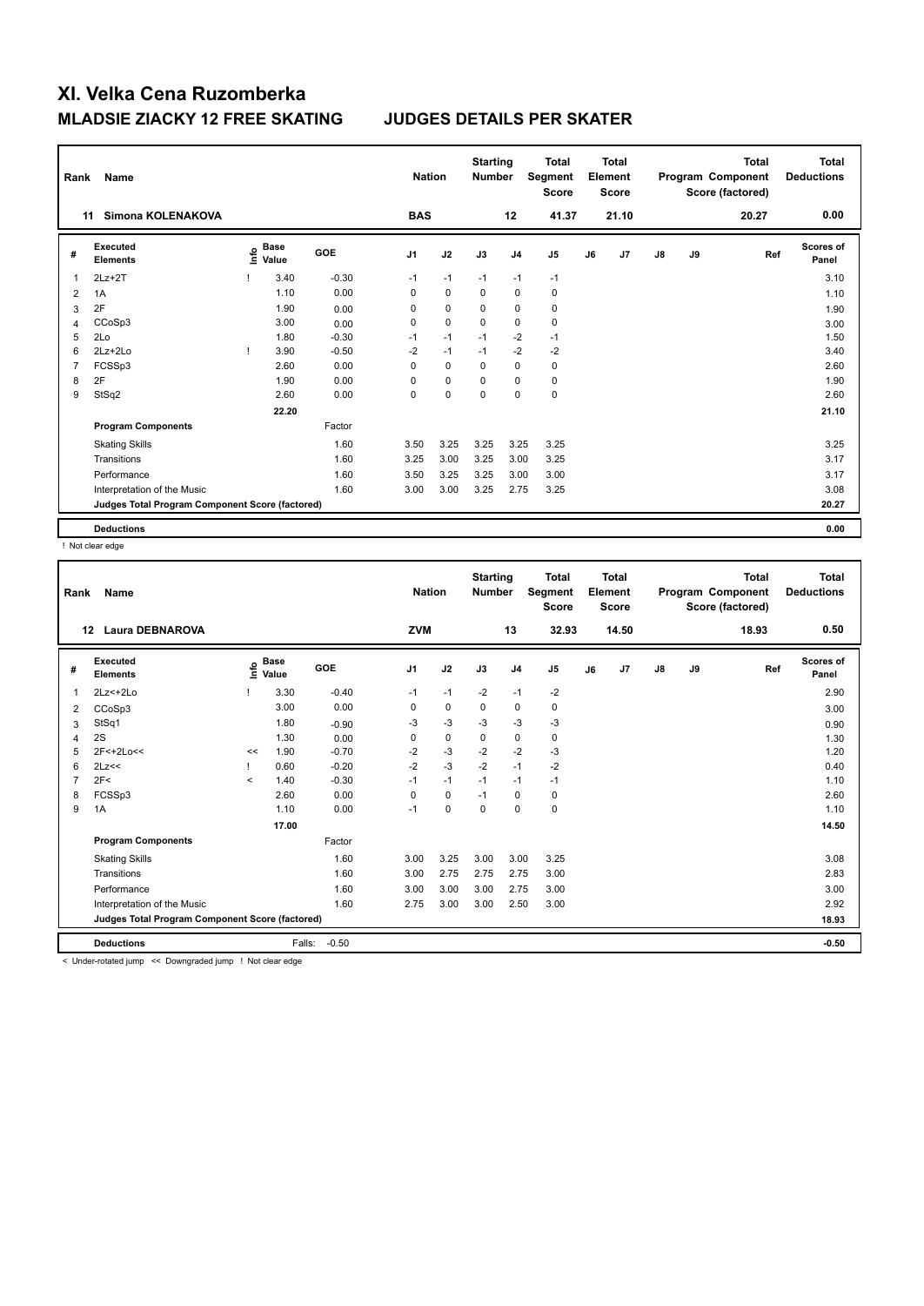| Rank           | Name                                            |    |                      |            | <b>Nation</b>  |             | <b>Starting</b><br><b>Number</b> |                | <b>Total</b><br>Segment<br><b>Score</b> |    | <b>Total</b><br>Element<br><b>Score</b> |               |    | <b>Total</b><br>Program Component<br>Score (factored) | Total<br><b>Deductions</b> |
|----------------|-------------------------------------------------|----|----------------------|------------|----------------|-------------|----------------------------------|----------------|-----------------------------------------|----|-----------------------------------------|---------------|----|-------------------------------------------------------|----------------------------|
|                | Simona KOLENAKOVA<br>11                         |    |                      |            | <b>BAS</b>     |             |                                  | 12             | 41.37                                   |    | 21.10                                   |               |    | 20.27                                                 | 0.00                       |
| #              | Executed<br><b>Elements</b>                     | e  | <b>Base</b><br>Value | <b>GOE</b> | J <sub>1</sub> | J2          | J3                               | J <sub>4</sub> | J5                                      | J6 | J7                                      | $\mathsf{J}8$ | J9 | Ref                                                   | <b>Scores of</b><br>Panel  |
| 1              | $2Lz + 2T$                                      |    | 3.40                 | $-0.30$    | $-1$           | $-1$        | $-1$                             | $-1$           | $-1$                                    |    |                                         |               |    |                                                       | 3.10                       |
| $\overline{2}$ | 1A                                              |    | 1.10                 | 0.00       | 0              | $\mathbf 0$ | 0                                | 0              | 0                                       |    |                                         |               |    |                                                       | 1.10                       |
| 3              | 2F                                              |    | 1.90                 | 0.00       | $\Omega$       | 0           | $\Omega$                         | 0              | 0                                       |    |                                         |               |    |                                                       | 1.90                       |
| 4              | CCoSp3                                          |    | 3.00                 | 0.00       | 0              | $\mathbf 0$ | $\mathbf 0$                      | $\mathbf 0$    | $\pmb{0}$                               |    |                                         |               |    |                                                       | 3.00                       |
| 5              | 2Lo                                             |    | 1.80                 | $-0.30$    | $-1$           | $-1$        | $-1$                             | $-2$           | $-1$                                    |    |                                         |               |    |                                                       | 1.50                       |
| 6              | $2Lz + 2Lo$                                     | л. | 3.90                 | $-0.50$    | $-2$           | $-1$        | $-1$                             | $-2$           | $-2$                                    |    |                                         |               |    |                                                       | 3.40                       |
| 7              | FCSSp3                                          |    | 2.60                 | 0.00       | 0              | $\mathbf 0$ | $\Omega$                         | $\mathbf 0$    | $\mathbf 0$                             |    |                                         |               |    |                                                       | 2.60                       |
| 8              | 2F                                              |    | 1.90                 | 0.00       | $\Omega$       | 0           | $\Omega$                         | 0              | 0                                       |    |                                         |               |    |                                                       | 1.90                       |
| 9              | StSq2                                           |    | 2.60                 | 0.00       | 0              | $\pmb{0}$   | 0                                | $\pmb{0}$      | $\pmb{0}$                               |    |                                         |               |    |                                                       | 2.60                       |
|                |                                                 |    | 22.20                |            |                |             |                                  |                |                                         |    |                                         |               |    |                                                       | 21.10                      |
|                | <b>Program Components</b>                       |    |                      | Factor     |                |             |                                  |                |                                         |    |                                         |               |    |                                                       |                            |
|                | <b>Skating Skills</b>                           |    |                      | 1.60       | 3.50           | 3.25        | 3.25                             | 3.25           | 3.25                                    |    |                                         |               |    |                                                       | 3.25                       |
|                | Transitions                                     |    |                      | 1.60       | 3.25           | 3.00        | 3.25                             | 3.00           | 3.25                                    |    |                                         |               |    |                                                       | 3.17                       |
|                | Performance                                     |    |                      | 1.60       | 3.50           | 3.25        | 3.25                             | 3.00           | 3.00                                    |    |                                         |               |    |                                                       | 3.17                       |
|                | Interpretation of the Music                     |    |                      | 1.60       | 3.00           | 3.00        | 3.25                             | 2.75           | 3.25                                    |    |                                         |               |    |                                                       | 3.08                       |
|                | Judges Total Program Component Score (factored) |    |                      |            |                |             |                                  |                |                                         |    |                                         |               |    |                                                       | 20.27                      |
|                | <b>Deductions</b>                               |    |                      |            |                |             |                                  |                |                                         |    |                                         |               |    |                                                       | 0.00                       |

! Not clear edge

| Rank | Name                                            |         |                                    |         | <b>Nation</b>  |             | <b>Starting</b><br><b>Number</b> |                | <b>Total</b><br>Segment<br><b>Score</b> |    | <b>Total</b><br>Element<br><b>Score</b> |               |    | <b>Total</b><br>Program Component<br>Score (factored) | <b>Total</b><br><b>Deductions</b> |
|------|-------------------------------------------------|---------|------------------------------------|---------|----------------|-------------|----------------------------------|----------------|-----------------------------------------|----|-----------------------------------------|---------------|----|-------------------------------------------------------|-----------------------------------|
|      | <b>Laura DEBNAROVA</b><br>$12 \,$               |         |                                    |         | <b>ZVM</b>     |             |                                  | 13             | 32.93                                   |    | 14.50                                   |               |    | 18.93                                                 | 0.50                              |
| #    | Executed<br><b>Elements</b>                     |         | <b>Base</b><br>$\frac{6}{5}$ Value | GOE     | J <sub>1</sub> | J2          | J3                               | J <sub>4</sub> | J <sub>5</sub>                          | J6 | J7                                      | $\mathsf{J}8$ | J9 | Ref                                                   | <b>Scores of</b><br>Panel         |
| 1    | 2Lz<+2Lo                                        |         | 3.30                               | $-0.40$ | $-1$           | $-1$        | $-2$                             | $-1$           | $-2$                                    |    |                                         |               |    |                                                       | 2.90                              |
| 2    | CCoSp3                                          |         | 3.00                               | 0.00    | 0              | $\mathbf 0$ | 0                                | 0              | 0                                       |    |                                         |               |    |                                                       | 3.00                              |
| 3    | StSq1                                           |         | 1.80                               | $-0.90$ | -3             | $-3$        | $-3$                             | $-3$           | $-3$                                    |    |                                         |               |    |                                                       | 0.90                              |
| 4    | 2S                                              |         | 1.30                               | 0.00    | 0              | $\mathbf 0$ | 0                                | 0              | $\pmb{0}$                               |    |                                         |               |    |                                                       | 1.30                              |
| 5    | 2F<+2Lo<<                                       | <<      | 1.90                               | $-0.70$ | $-2$           | $-3$        | $-2$                             | $-2$           | $-3$                                    |    |                                         |               |    |                                                       | 1.20                              |
| 6    | 2Lz<<                                           |         | 0.60                               | $-0.20$ | $-2$           | $-3$        | $-2$                             | $-1$           | $-2$                                    |    |                                         |               |    |                                                       | 0.40                              |
|      | 2F<                                             | $\prec$ | 1.40                               | $-0.30$ | $-1$           | $-1$        | $-1$                             | $-1$           | $-1$                                    |    |                                         |               |    |                                                       | 1.10                              |
| 8    | FCSSp3                                          |         | 2.60                               | 0.00    | $\mathbf 0$    | $\mathbf 0$ | $-1$                             | $\mathbf 0$    | $\pmb{0}$                               |    |                                         |               |    |                                                       | 2.60                              |
| 9    | 1A                                              |         | 1.10                               | 0.00    | $-1$           | $\mathbf 0$ | 0                                | 0              | $\mathbf 0$                             |    |                                         |               |    |                                                       | 1.10                              |
|      |                                                 |         | 17.00                              |         |                |             |                                  |                |                                         |    |                                         |               |    |                                                       | 14.50                             |
|      | <b>Program Components</b>                       |         |                                    | Factor  |                |             |                                  |                |                                         |    |                                         |               |    |                                                       |                                   |
|      | <b>Skating Skills</b>                           |         |                                    | 1.60    | 3.00           | 3.25        | 3.00                             | 3.00           | 3.25                                    |    |                                         |               |    |                                                       | 3.08                              |
|      | Transitions                                     |         |                                    | 1.60    | 3.00           | 2.75        | 2.75                             | 2.75           | 3.00                                    |    |                                         |               |    |                                                       | 2.83                              |
|      | Performance                                     |         |                                    | 1.60    | 3.00           | 3.00        | 3.00                             | 2.75           | 3.00                                    |    |                                         |               |    |                                                       | 3.00                              |
|      | Interpretation of the Music                     |         |                                    | 1.60    | 2.75           | 3.00        | 3.00                             | 2.50           | 3.00                                    |    |                                         |               |    |                                                       | 2.92                              |
|      | Judges Total Program Component Score (factored) |         |                                    |         |                |             |                                  |                |                                         |    |                                         |               |    |                                                       | 18.93                             |
|      | <b>Deductions</b>                               |         | Falls:                             | $-0.50$ |                |             |                                  |                |                                         |    |                                         |               |    |                                                       | $-0.50$                           |

< Under-rotated jump << Downgraded jump ! Not clear edge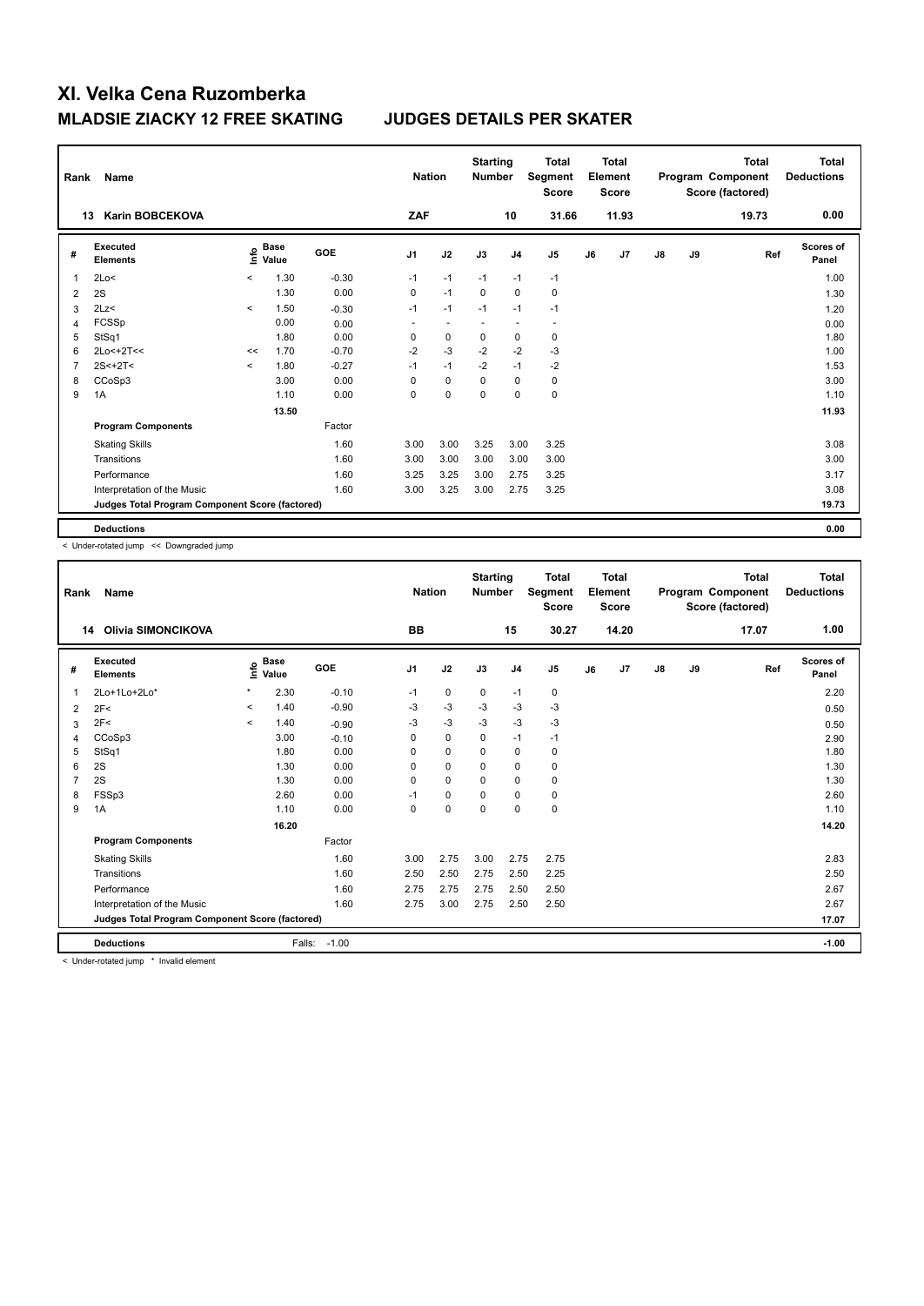| Rank           | Name                                            |                          |                      |            | <b>Nation</b>            |                          | <b>Starting</b><br><b>Number</b> |                | <b>Total</b><br>Segment<br><b>Score</b> |    | <b>Total</b><br>Element<br><b>Score</b> |               |    | <b>Total</b><br>Program Component<br>Score (factored) | Total<br><b>Deductions</b> |
|----------------|-------------------------------------------------|--------------------------|----------------------|------------|--------------------------|--------------------------|----------------------------------|----------------|-----------------------------------------|----|-----------------------------------------|---------------|----|-------------------------------------------------------|----------------------------|
|                | <b>Karin BOBCEKOVA</b><br>13                    |                          |                      |            | ZAF                      |                          |                                  | 10             | 31.66                                   |    | 11.93                                   |               |    | 19.73                                                 | 0.00                       |
| #              | Executed<br><b>Elements</b>                     | info                     | <b>Base</b><br>Value | <b>GOE</b> | J <sub>1</sub>           | J2                       | J3                               | J <sub>4</sub> | J5                                      | J6 | J7                                      | $\mathsf{J}8$ | J9 | Ref                                                   | Scores of<br>Panel         |
| 1              | 2Lo<                                            | $\prec$                  | 1.30                 | $-0.30$    | $-1$                     | $-1$                     | $-1$                             | $-1$           | $-1$                                    |    |                                         |               |    |                                                       | 1.00                       |
| $\overline{2}$ | 2S                                              |                          | 1.30                 | 0.00       | 0                        | $-1$                     | 0                                | $\mathbf 0$    | 0                                       |    |                                         |               |    |                                                       | 1.30                       |
| 3              | 2Lz                                             | $\prec$                  | 1.50                 | $-0.30$    | $-1$                     | $-1$                     | $-1$                             | $-1$           | $-1$                                    |    |                                         |               |    |                                                       | 1.20                       |
| 4              | FCSSp                                           |                          | 0.00                 | 0.00       | $\overline{\phantom{a}}$ | $\overline{\phantom{a}}$ |                                  | ٠              | $\overline{a}$                          |    |                                         |               |    |                                                       | 0.00                       |
| 5              | StSq1                                           |                          | 1.80                 | 0.00       | 0                        | $\mathbf 0$              | 0                                | 0              | 0                                       |    |                                         |               |    |                                                       | 1.80                       |
| 6              | 2Lo<+2T<<                                       | <<                       | 1.70                 | $-0.70$    | $-2$                     | $-3$                     | $-2$                             | $-2$           | $-3$                                    |    |                                         |               |    |                                                       | 1.00                       |
| 7              | $2S < +2T <$                                    | $\overline{\phantom{a}}$ | 1.80                 | $-0.27$    | $-1$                     | $-1$                     | $-2$                             | $-1$           | $-2$                                    |    |                                         |               |    |                                                       | 1.53                       |
| 8              | CCoSp3                                          |                          | 3.00                 | 0.00       | $\Omega$                 | $\mathbf 0$              | $\Omega$                         | 0              | 0                                       |    |                                         |               |    |                                                       | 3.00                       |
| 9              | 1A                                              |                          | 1.10                 | 0.00       | 0                        | $\pmb{0}$                | 0                                | $\pmb{0}$      | $\pmb{0}$                               |    |                                         |               |    |                                                       | 1.10                       |
|                |                                                 |                          | 13.50                |            |                          |                          |                                  |                |                                         |    |                                         |               |    |                                                       | 11.93                      |
|                | <b>Program Components</b>                       |                          |                      | Factor     |                          |                          |                                  |                |                                         |    |                                         |               |    |                                                       |                            |
|                | <b>Skating Skills</b>                           |                          |                      | 1.60       | 3.00                     | 3.00                     | 3.25                             | 3.00           | 3.25                                    |    |                                         |               |    |                                                       | 3.08                       |
|                | Transitions                                     |                          |                      | 1.60       | 3.00                     | 3.00                     | 3.00                             | 3.00           | 3.00                                    |    |                                         |               |    |                                                       | 3.00                       |
|                | Performance                                     |                          |                      | 1.60       | 3.25                     | 3.25                     | 3.00                             | 2.75           | 3.25                                    |    |                                         |               |    |                                                       | 3.17                       |
|                | Interpretation of the Music                     |                          |                      | 1.60       | 3.00                     | 3.25                     | 3.00                             | 2.75           | 3.25                                    |    |                                         |               |    |                                                       | 3.08                       |
|                | Judges Total Program Component Score (factored) |                          |                      |            |                          |                          |                                  |                |                                         |    |                                         |               |    |                                                       | 19.73                      |
|                | <b>Deductions</b>                               |                          |                      |            |                          |                          |                                  |                |                                         |    |                                         |               |    |                                                       | 0.00                       |

< Under-rotated jump << Downgraded jump

| Rank           | <b>Name</b>                                     |         |                      |         | <b>Nation</b>  |             | <b>Starting</b><br><b>Number</b> |                | <b>Total</b><br>Segment<br><b>Score</b> |    | <b>Total</b><br>Element<br><b>Score</b> |               |    | <b>Total</b><br>Program Component<br>Score (factored) | <b>Total</b><br><b>Deductions</b> |
|----------------|-------------------------------------------------|---------|----------------------|---------|----------------|-------------|----------------------------------|----------------|-----------------------------------------|----|-----------------------------------------|---------------|----|-------------------------------------------------------|-----------------------------------|
|                | <b>Olivia SIMONCIKOVA</b><br>14                 |         |                      |         | <b>BB</b>      |             |                                  | 15             | 30.27                                   |    | 14.20                                   |               |    | 17.07                                                 | 1.00                              |
| #              | Executed<br><b>Elements</b>                     | Life    | <b>Base</b><br>Value | GOE     | J <sub>1</sub> | J2          | J3                               | J <sub>4</sub> | J5                                      | J6 | J7                                      | $\mathsf{J}8$ | J9 | Ref                                                   | <b>Scores of</b><br>Panel         |
| 1              | 2Lo+1Lo+2Lo*                                    | $\star$ | 2.30                 | $-0.10$ | $-1$           | 0           | 0                                | $-1$           | 0                                       |    |                                         |               |    |                                                       | 2.20                              |
| 2              | 2F<                                             | $\prec$ | 1.40                 | $-0.90$ | -3             | $-3$        | -3                               | $-3$           | $-3$                                    |    |                                         |               |    |                                                       | 0.50                              |
| 3              | 2F<                                             | $\prec$ | 1.40                 | $-0.90$ | -3             | $-3$        | $-3$                             | $-3$           | $-3$                                    |    |                                         |               |    |                                                       | 0.50                              |
| 4              | CCoSp3                                          |         | 3.00                 | $-0.10$ | 0              | $\mathbf 0$ | $\Omega$                         | $-1$           | $-1$                                    |    |                                         |               |    |                                                       | 2.90                              |
| 5              | StSq1                                           |         | 1.80                 | 0.00    | 0              | $\mathbf 0$ | 0                                | $\mathbf 0$    | 0                                       |    |                                         |               |    |                                                       | 1.80                              |
| 6              | 2S                                              |         | 1.30                 | 0.00    | $\Omega$       | 0           | $\Omega$                         | 0              | 0                                       |    |                                         |               |    |                                                       | 1.30                              |
| $\overline{7}$ | 2S                                              |         | 1.30                 | 0.00    | 0              | $\mathbf 0$ | $\Omega$                         | $\mathbf 0$    | 0                                       |    |                                         |               |    |                                                       | 1.30                              |
| 8              | FSSp3                                           |         | 2.60                 | 0.00    | $-1$           | $\mathbf 0$ | 0                                | $\mathbf 0$    | 0                                       |    |                                         |               |    |                                                       | 2.60                              |
| 9              | 1A                                              |         | 1.10                 | 0.00    | 0              | $\mathbf 0$ | 0                                | 0              | $\mathbf 0$                             |    |                                         |               |    |                                                       | 1.10                              |
|                |                                                 |         | 16.20                |         |                |             |                                  |                |                                         |    |                                         |               |    |                                                       | 14.20                             |
|                | <b>Program Components</b>                       |         |                      | Factor  |                |             |                                  |                |                                         |    |                                         |               |    |                                                       |                                   |
|                | <b>Skating Skills</b>                           |         |                      | 1.60    | 3.00           | 2.75        | 3.00                             | 2.75           | 2.75                                    |    |                                         |               |    |                                                       | 2.83                              |
|                | Transitions                                     |         |                      | 1.60    | 2.50           | 2.50        | 2.75                             | 2.50           | 2.25                                    |    |                                         |               |    |                                                       | 2.50                              |
|                | Performance                                     |         |                      | 1.60    | 2.75           | 2.75        | 2.75                             | 2.50           | 2.50                                    |    |                                         |               |    |                                                       | 2.67                              |
|                | Interpretation of the Music                     |         |                      | 1.60    | 2.75           | 3.00        | 2.75                             | 2.50           | 2.50                                    |    |                                         |               |    |                                                       | 2.67                              |
|                | Judges Total Program Component Score (factored) |         |                      |         |                |             |                                  |                |                                         |    |                                         |               |    |                                                       | 17.07                             |
|                | <b>Deductions</b>                               |         | Falls:               | $-1.00$ |                |             |                                  |                |                                         |    |                                         |               |    |                                                       | $-1.00$                           |

< Under-rotated jump \* Invalid element